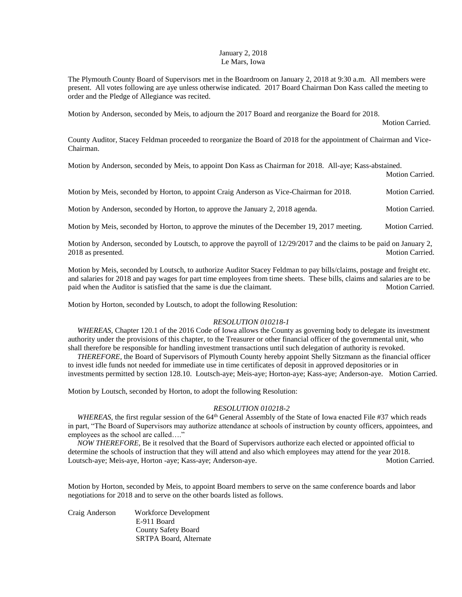## January 2, 2018 Le Mars, Iowa

The Plymouth County Board of Supervisors met in the Boardroom on January 2, 2018 at 9:30 a.m. All members were present. All votes following are aye unless otherwise indicated. 2017 Board Chairman Don Kass called the meeting to order and the Pledge of Allegiance was recited.

Motion by Anderson, seconded by Meis, to adjourn the 2017 Board and reorganize the Board for 2018.

Motion Carried.

County Auditor, Stacey Feldman proceeded to reorganize the Board of 2018 for the appointment of Chairman and Vice-Chairman.

Motion by Anderson, seconded by Meis, to appoint Don Kass as Chairman for 2018. All-aye; Kass-abstained.

Motion Carried.

Motion by Meis, seconded by Horton, to appoint Craig Anderson as Vice-Chairman for 2018. Motion Carried.

Motion by Anderson, seconded by Horton, to approve the January 2, 2018 agenda. Motion Carried.

Motion by Meis, seconded by Horton, to approve the minutes of the December 19, 2017 meeting. Motion Carried.

Motion by Anderson, seconded by Loutsch, to approve the payroll of 12/29/2017 and the claims to be paid on January 2, 2018 as presented. Motion Carried.

Motion by Meis, seconded by Loutsch, to authorize Auditor Stacey Feldman to pay bills/claims, postage and freight etc. and salaries for 2018 and pay wages for part time employees from time sheets. These bills, claims and salaries are to be paid when the Auditor is satisfied that the same is due the claimant. Motion Carried.

Motion by Horton, seconded by Loutsch, to adopt the following Resolution:

## *RESOLUTION 010218-1*

*WHEREAS, Chapter 120.1 of the 2016 Code of Iowa allows the County as governing body to delegate its investment* authority under the provisions of this chapter, to the Treasurer or other financial officer of the governmental unit, who shall therefore be responsible for handling investment transactions until such delegation of authority is revoked.

 *THEREFORE,* the Board of Supervisors of Plymouth County hereby appoint Shelly Sitzmann as the financial officer to invest idle funds not needed for immediate use in time certificates of deposit in approved depositories or in investments permitted by section 128.10. Loutsch-aye; Meis-aye; Horton-aye; Kass-aye; Anderson-aye. Motion Carried.

Motion by Loutsch, seconded by Horton, to adopt the following Resolution:

## *RESOLUTION 010218-2*

*WHEREAS*, the first regular session of the 64<sup>th</sup> General Assembly of the State of Iowa enacted File #37 which reads in part, "The Board of Supervisors may authorize attendance at schools of instruction by county officers, appointees, and employees as the school are called…."

 *NOW THEREFORE,* Be it resolved that the Board of Supervisors authorize each elected or appointed official to determine the schools of instruction that they will attend and also which employees may attend for the year 2018. Loutsch-aye; Meis-aye, Horton -aye; Kass-aye; Anderson-aye. Motion Carried.

Motion by Horton, seconded by Meis, to appoint Board members to serve on the same conference boards and labor negotiations for 2018 and to serve on the other boards listed as follows.

| Craig Anderson | Workforce Development         |
|----------------|-------------------------------|
|                | E-911 Board                   |
|                | County Safety Board           |
|                | <b>SRTPA Board, Alternate</b> |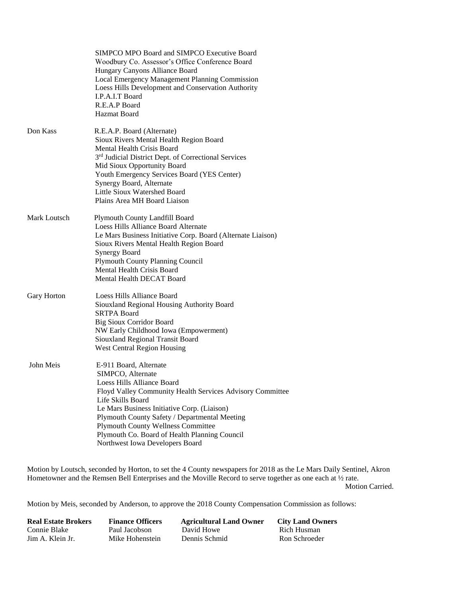|              | Woodbury Co. Assessor's Office Conference Board<br>Hungary Canyons Alliance Board<br>Local Emergency Management Planning Commission<br>Loess Hills Development and Conservation Authority<br>I.P.A.I.T Board<br>R.E.A.P Board<br>Hazmat Board                                                                                                                                                |
|--------------|----------------------------------------------------------------------------------------------------------------------------------------------------------------------------------------------------------------------------------------------------------------------------------------------------------------------------------------------------------------------------------------------|
| Don Kass     | R.E.A.P. Board (Alternate)<br>Sioux Rivers Mental Health Region Board<br>Mental Health Crisis Board<br>3 <sup>rd</sup> Judicial District Dept. of Correctional Services<br>Mid Sioux Opportunity Board<br>Youth Emergency Services Board (YES Center)<br>Synergy Board, Alternate<br>Little Sioux Watershed Board<br>Plains Area MH Board Liaison                                            |
| Mark Loutsch | Plymouth County Landfill Board<br>Loess Hills Alliance Board Alternate<br>Le Mars Business Initiative Corp. Board (Alternate Liaison)<br>Sioux Rivers Mental Health Region Board<br><b>Synergy Board</b><br><b>Plymouth County Planning Council</b><br>Mental Health Crisis Board<br>Mental Health DECAT Board                                                                               |
| Gary Horton  | Loess Hills Alliance Board<br>Siouxland Regional Housing Authority Board<br><b>SRTPA Board</b><br><b>Big Sioux Corridor Board</b><br>NW Early Childhood Iowa (Empowerment)<br>Siouxland Regional Transit Board<br>West Central Region Housing                                                                                                                                                |
| John Meis    | E-911 Board, Alternate<br>SIMPCO, Alternate<br>Loess Hills Alliance Board<br>Floyd Valley Community Health Services Advisory Committee<br>Life Skills Board<br>Le Mars Business Initiative Corp. (Liaison)<br>Plymouth County Safety / Departmental Meeting<br><b>Plymouth County Wellness Committee</b><br>Plymouth Co. Board of Health Planning Council<br>Northwest Iowa Developers Board |

Motion by Loutsch, seconded by Horton, to set the 4 County newspapers for 2018 as the Le Mars Daily Sentinel, Akron Hometowner and the Remsen Bell Enterprises and the Moville Record to serve together as one each at  $\frac{1}{2}$  rate.

Motion Carried.

Motion by Meis, seconded by Anderson, to approve the 2018 County Compensation Commission as follows:

| <b>Real Estate Brokers</b> | <b>Finance Officers</b> | <b>Agricultural Land Owner</b> | <b>City Land Owners</b> |
|----------------------------|-------------------------|--------------------------------|-------------------------|
| Connie Blake               | Paul Jacobson           | David Howe                     | - Rich Husman           |
| Jim A. Klein Jr.           | Mike Hohenstein         | Dennis Schmid                  | Ron Schroeder           |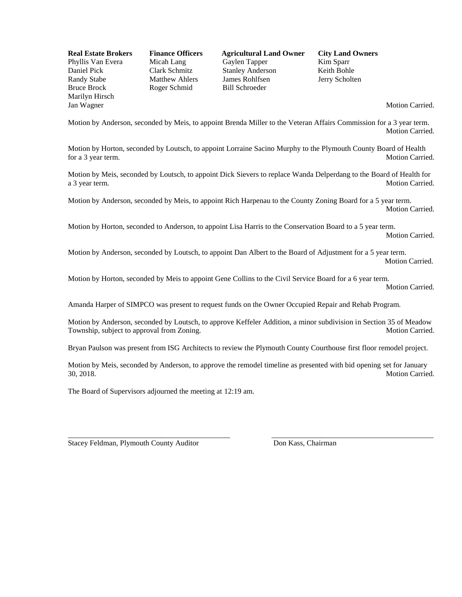Bruce Brock Roger Schmid Bill Schroeder Marilyn Hirsch Jan Wagner Motion Carried.

**Real Estate Brokers Finance Officers Agricultural Land Owner City Land Owners**<br>Phyllis Van Evera Micah Lang Gaylen Tapper Kim Sparr Phyllis Van Evera Micah Lang Gaylen Tapper Kim Sparr Daniel Pick Clark Schmitz Stanley Anderson Keith Bohle Randy Stabe Matthew Ahlers James Rohlfsen Jerry Scholten

Motion by Anderson, seconded by Meis, to appoint Brenda Miller to the Veteran Affairs Commission for a 3 year term. Motion Carried.

Motion by Horton, seconded by Loutsch, to appoint Lorraine Sacino Murphy to the Plymouth County Board of Health for a 3 year term. Motion Carried.

Motion by Meis, seconded by Loutsch, to appoint Dick Sievers to replace Wanda Delperdang to the Board of Health for a 3 year term. Motion Carried.

Motion by Anderson, seconded by Meis, to appoint Rich Harpenau to the County Zoning Board for a 5 year term. Motion Carried.

Motion by Horton, seconded to Anderson, to appoint Lisa Harris to the Conservation Board to a 5 year term.

Motion Carried.

Motion by Anderson, seconded by Loutsch, to appoint Dan Albert to the Board of Adjustment for a 5 year term. Motion Carried.

Motion by Horton, seconded by Meis to appoint Gene Collins to the Civil Service Board for a 6 year term. Motion Carried.

Amanda Harper of SIMPCO was present to request funds on the Owner Occupied Repair and Rehab Program.

Motion by Anderson, seconded by Loutsch, to approve Keffeler Addition, a minor subdivision in Section 35 of Meadow Township, subject to approval from Zoning. The state of the state of the Motion Carried.

Bryan Paulson was present from ISG Architects to review the Plymouth County Courthouse first floor remodel project.

Motion by Meis, seconded by Anderson, to approve the remodel timeline as presented with bid opening set for January 30, 2018. Motion Carried.

\_\_\_\_\_\_\_\_\_\_\_\_\_\_\_\_\_\_\_\_\_\_\_\_\_\_\_\_\_\_\_\_\_\_\_\_\_\_\_\_\_\_\_ \_\_\_\_\_\_\_\_\_\_\_\_\_\_\_\_\_\_\_\_\_\_\_\_\_\_\_\_\_\_\_\_\_\_\_\_\_\_\_\_\_\_\_

The Board of Supervisors adjourned the meeting at 12:19 am.

Stacey Feldman, Plymouth County Auditor Don Kass, Chairman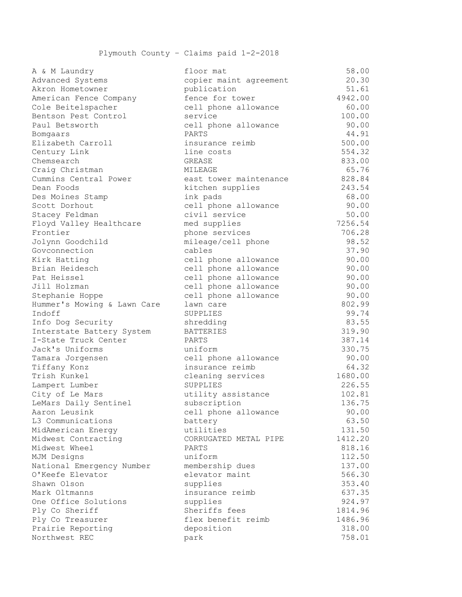| 11 a 11 maantar y           |                        | ----    |
|-----------------------------|------------------------|---------|
| Advanced Systems            | copier maint agreement | 20.30   |
| Akron Hometowner            | publication            | 51.61   |
| American Fence Company      | fence for tower        | 4942.00 |
| Cole Beitelspacher          | cell phone allowance   | 60.00   |
| Bentson Pest Control        | service                | 100.00  |
| Paul Betsworth              | cell phone allowance   | 90.00   |
| Bomgaars                    | PARTS                  | 44.91   |
| Elizabeth Carroll           | insurance reimb        | 500.00  |
| Century Link                | line costs             | 554.32  |
| Chemsearch                  | GREASE                 | 833.00  |
| Craig Christman             | MILEAGE                | 65.76   |
| Cummins Central Power       | east tower maintenance | 828.84  |
| Dean Foods                  | kitchen supplies       | 243.54  |
| Des Moines Stamp            | ink pads               | 68.00   |
| Scott Dorhout               | cell phone allowance   | 90.00   |
| Stacey Feldman              | civil service          | 50.00   |
| Floyd Valley Healthcare     | med supplies           | 7256.54 |
| Frontier                    | phone services         | 706.28  |
| Jolynn Goodchild            | mileage/cell phone     | 98.52   |
| Govconnection               | cables                 | 37.90   |
| Kirk Hatting                | cell phone allowance   | 90.00   |
| Brian Heidesch              | cell phone allowance   | 90.00   |
| Pat Heissel                 | cell phone allowance   | 90.00   |
| Jill Holzman                | cell phone allowance   | 90.00   |
| Stephanie Hoppe             | cell phone allowance   | 90.00   |
| Hummer's Mowing & Lawn Care | lawn care              | 802.99  |
| Indoff                      | SUPPLIES               | 99.74   |
| Info Dog Security           | shredding              | 83.55   |
| Interstate Battery System   | <b>BATTERIES</b>       | 319.90  |
| I-State Truck Center        | PARTS                  | 387.14  |
| Jack's Uniforms             | uniform                | 330.75  |
| Tamara Jorgensen            | cell phone allowance   | 90.00   |
| Tiffany Konz                | insurance reimb        | 64.32   |
| Trish Kunkel                | cleaning services      | 1680.00 |
| Lampert Lumber              | SUPPLIES               | 226.55  |
| City of Le Mars             | utility assistance     | 102.81  |
| LeMars Daily Sentinel       | subscription           | 136.75  |
| Aaron Leusink               | cell phone allowance   | 90.00   |
| L3 Communications           | battery                | 63.50   |
| MidAmerican Energy          | utilities              | 131.50  |
| Midwest Contracting         | CORRUGATED METAL PIPE  | 1412.20 |
| Midwest Wheel               | PARTS                  | 818.16  |
| MJM Designs                 | uniform                | 112.50  |
| National Emergency Number   | membership dues        | 137.00  |
| O'Keefe Elevator            | elevator maint         | 566.30  |
| Shawn Olson                 | supplies               | 353.40  |
| Mark Oltmanns               | insurance reimb        | 637.35  |
| One Office Solutions        | supplies               | 924.97  |
| Ply Co Sheriff              | Sheriffs fees          | 1814.96 |
| Ply Co Treasurer            | flex benefit reimb     | 1486.96 |
| Prairie Reporting           | deposition             | 318.00  |
| Northwest REC               | park                   | 758.01  |
|                             |                        |         |